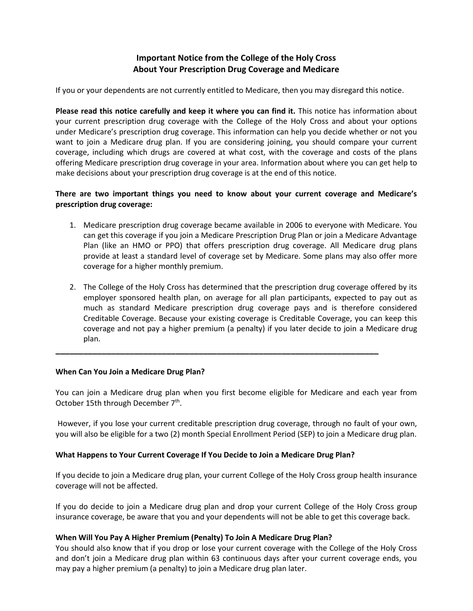# **Important Notice from the College of the Holy Cross About Your Prescription Drug Coverage and Medicare**

If you or your dependents are not currently entitled to Medicare, then you may disregard this notice.

**Please read this notice carefully and keep it where you can find it.** This notice has information about your current prescription drug coverage with the College of the Holy Cross and about your options under Medicare's prescription drug coverage. This information can help you decide whether or not you want to join a Medicare drug plan. If you are considering joining, you should compare your current coverage, including which drugs are covered at what cost, with the coverage and costs of the plans offering Medicare prescription drug coverage in your area. Information about where you can get help to make decisions about your prescription drug coverage is at the end of this notice.

# **There are two important things you need to know about your current coverage and Medicare's prescription drug coverage:**

- 1. Medicare prescription drug coverage became available in 2006 to everyone with Medicare. You can get this coverage if you join a Medicare Prescription Drug Plan or join a Medicare Advantage Plan (like an HMO or PPO) that offers prescription drug coverage. All Medicare drug plans provide at least a standard level of coverage set by Medicare. Some plans may also offer more coverage for a higher monthly premium.
- 2. The College of the Holy Cross has determined that the prescription drug coverage offered by its employer sponsored health plan, on average for all plan participants, expected to pay out as much as standard Medicare prescription drug coverage pays and is therefore considered Creditable Coverage. Because your existing coverage is Creditable Coverage, you can keep this coverage and not pay a higher premium (a penalty) if you later decide to join a Medicare drug plan.

#### **When Can You Join a Medicare Drug Plan?**

You can join a Medicare drug plan when you first become eligible for Medicare and each year from October 15th through December 7<sup>th</sup>.

**\_\_\_\_\_\_\_\_\_\_\_\_\_\_\_\_\_\_\_\_\_\_\_\_\_\_\_\_\_\_\_\_\_\_\_\_\_\_\_\_\_\_\_\_\_\_\_\_\_\_\_\_\_\_\_\_\_\_\_\_\_\_\_\_\_\_\_\_\_\_**

However, if you lose your current creditable prescription drug coverage, through no fault of your own, you will also be eligible for a two (2) month Special Enrollment Period (SEP) to join a Medicare drug plan.

### **What Happens to Your Current Coverage If You Decide to Join a Medicare Drug Plan?**

If you decide to join a Medicare drug plan, your current College of the Holy Cross group health insurance coverage will not be affected.

If you do decide to join a Medicare drug plan and drop your current College of the Holy Cross group insurance coverage, be aware that you and your dependents will not be able to get this coverage back.

### **When Will You Pay A Higher Premium (Penalty) To Join A Medicare Drug Plan?**

You should also know that if you drop or lose your current coverage with the College of the Holy Cross and don't join a Medicare drug plan within 63 continuous days after your current coverage ends, you may pay a higher premium (a penalty) to join a Medicare drug plan later.